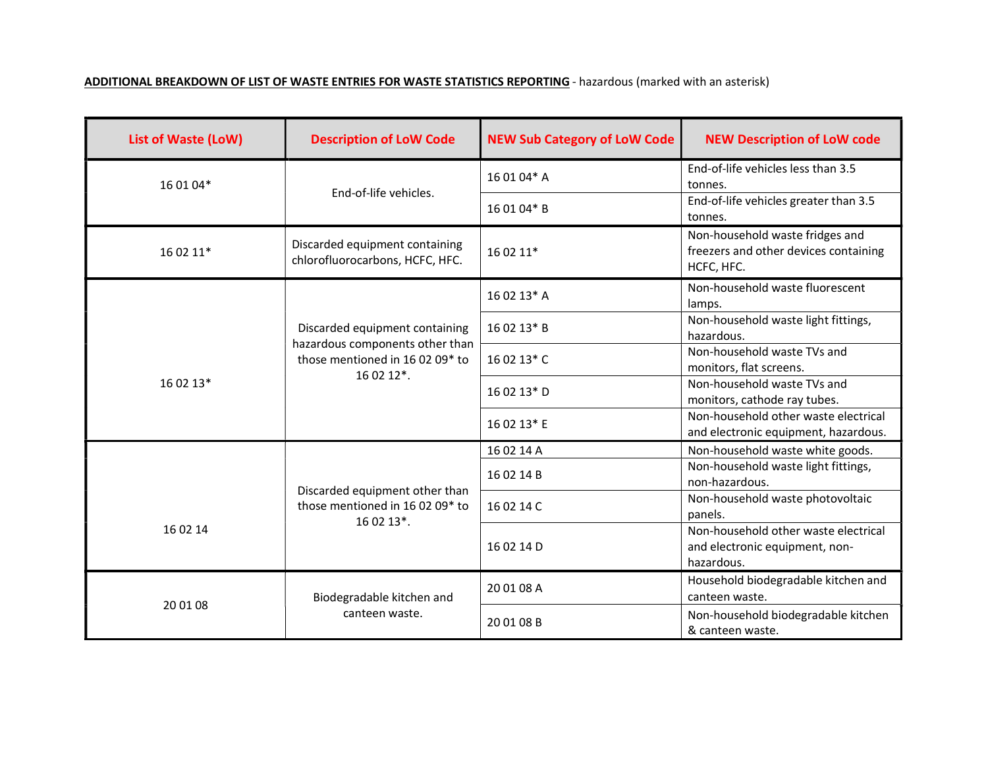## ADDITIONAL BREAKDOWN OF LIST OF WASTE ENTRIES FOR WASTE STATISTICS REPORTING - hazardous (marked with an asterisk)

| <b>List of Waste (LoW)</b> | <b>Description of LoW Code</b>                                                                                                  | <b>NEW Sub Category of LoW Code</b> | <b>NEW Description of LoW code</b>                                                     |
|----------------------------|---------------------------------------------------------------------------------------------------------------------------------|-------------------------------------|----------------------------------------------------------------------------------------|
| 16 01 04*                  | End-of-life vehicles.                                                                                                           | 16 01 04* A                         | End-of-life vehicles less than 3.5<br>tonnes.                                          |
|                            |                                                                                                                                 | 16 01 04* B                         | End-of-life vehicles greater than 3.5<br>tonnes.                                       |
| 16 02 11*                  | Discarded equipment containing<br>chlorofluorocarbons, HCFC, HFC.                                                               | 16 02 11*                           | Non-household waste fridges and<br>freezers and other devices containing<br>HCFC, HFC. |
| 16 02 13*                  | Discarded equipment containing<br>hazardous components other than<br>those mentioned in 16 02 09* to<br>$160212$ <sup>*</sup> . | 16 02 13* A                         | Non-household waste fluorescent<br>lamps.                                              |
|                            |                                                                                                                                 | 16 02 13* B                         | Non-household waste light fittings,<br>hazardous.                                      |
|                            |                                                                                                                                 | 16 02 13* C                         | Non-household waste TVs and<br>monitors, flat screens.                                 |
|                            |                                                                                                                                 | 16 02 13* D                         | Non-household waste TVs and<br>monitors, cathode ray tubes.                            |
|                            |                                                                                                                                 | 16 02 13* E                         | Non-household other waste electrical<br>and electronic equipment, hazardous.           |
| 16 02 14                   | Discarded equipment other than<br>those mentioned in 16 02 09* to<br>16 02 13*.                                                 | 16 02 14 A                          | Non-household waste white goods.                                                       |
|                            |                                                                                                                                 | 16 02 14 B                          | Non-household waste light fittings,<br>non-hazardous.                                  |
|                            |                                                                                                                                 | 16 02 14 C                          | Non-household waste photovoltaic<br>panels.                                            |
|                            |                                                                                                                                 | 16 02 14 D                          | Non-household other waste electrical<br>and electronic equipment, non-<br>hazardous.   |
| 20 01 08                   | Biodegradable kitchen and<br>canteen waste.                                                                                     | 20 01 08 A                          | Household biodegradable kitchen and<br>canteen waste.                                  |
|                            |                                                                                                                                 | 20 01 08 B                          | Non-household biodegradable kitchen<br>& canteen waste.                                |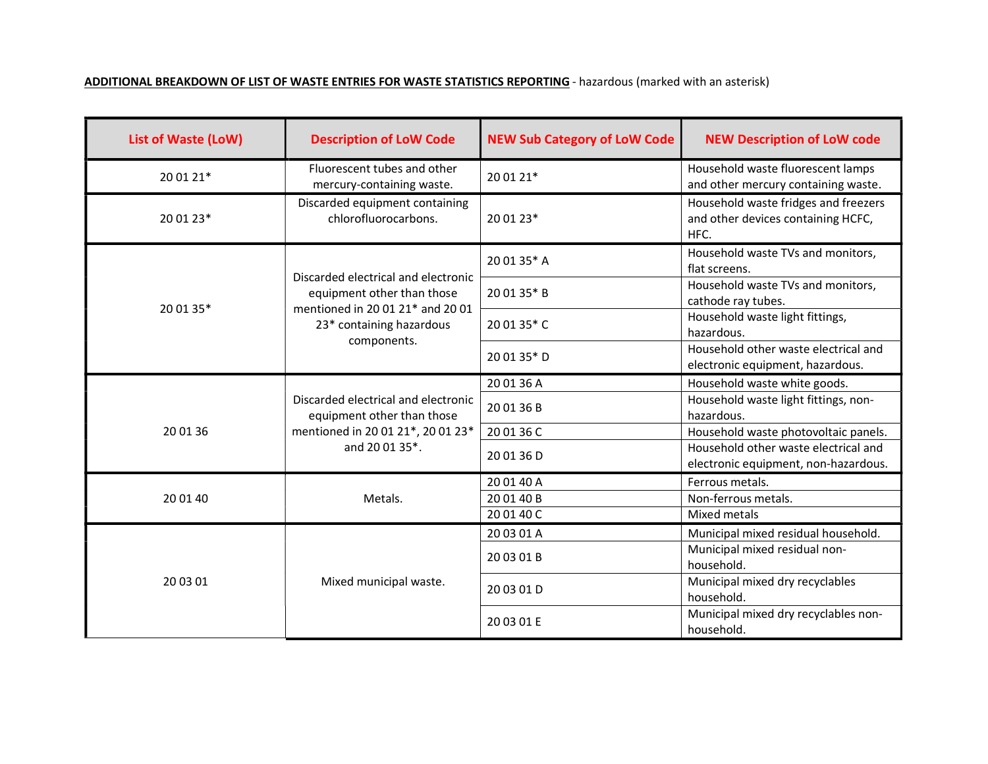## ADDITIONAL BREAKDOWN OF LIST OF WASTE ENTRIES FOR WASTE STATISTICS REPORTING - hazardous (marked with an asterisk)

| <b>List of Waste (LoW)</b> | <b>Description of LoW Code</b>                                                                                                                   | <b>NEW Sub Category of LoW Code</b> | <b>NEW Description of LoW code</b>                                                 |
|----------------------------|--------------------------------------------------------------------------------------------------------------------------------------------------|-------------------------------------|------------------------------------------------------------------------------------|
| 20 01 21*                  | Fluorescent tubes and other<br>mercury-containing waste.                                                                                         | 20 01 21*                           | Household waste fluorescent lamps<br>and other mercury containing waste.           |
| 20 01 23*                  | Discarded equipment containing<br>chlorofluorocarbons.                                                                                           | 20 01 23*                           | Household waste fridges and freezers<br>and other devices containing HCFC,<br>HFC. |
| 20 01 35*                  | Discarded electrical and electronic<br>equipment other than those<br>mentioned in 20 01 21* and 20 01<br>23* containing hazardous<br>components. | 20 01 35* A                         | Household waste TVs and monitors,<br>flat screens.                                 |
|                            |                                                                                                                                                  | 20 01 35* B                         | Household waste TVs and monitors,<br>cathode ray tubes.                            |
|                            |                                                                                                                                                  | 20 01 35* C                         | Household waste light fittings,<br>hazardous.                                      |
|                            |                                                                                                                                                  | 20 01 35* D                         | Household other waste electrical and<br>electronic equipment, hazardous.           |
|                            |                                                                                                                                                  | 20 01 36 A                          | Household waste white goods.                                                       |
|                            | Discarded electrical and electronic<br>equipment other than those<br>mentioned in 20 01 21*, 20 01 23*<br>and 20 01 35*.                         | 20 01 36 B                          | Household waste light fittings, non-<br>hazardous.                                 |
| 20 01 36                   |                                                                                                                                                  | 20 01 36 C                          | Household waste photovoltaic panels.                                               |
|                            |                                                                                                                                                  | 20 01 36 D                          | Household other waste electrical and<br>electronic equipment, non-hazardous.       |
| 20 01 40                   | Metals.                                                                                                                                          | 20 01 40 A                          | Ferrous metals.                                                                    |
|                            |                                                                                                                                                  | 20 01 40 B                          | Non-ferrous metals.                                                                |
|                            |                                                                                                                                                  | 20 01 40 C                          | Mixed metals                                                                       |
| 20 03 01                   | Mixed municipal waste.                                                                                                                           | 20 03 01 A                          | Municipal mixed residual household.                                                |
|                            |                                                                                                                                                  | 20 03 01 B                          | Municipal mixed residual non-<br>household.                                        |
|                            |                                                                                                                                                  | 20 03 01 D                          | Municipal mixed dry recyclables<br>household.                                      |
|                            |                                                                                                                                                  | 20 03 01 E                          | Municipal mixed dry recyclables non-<br>household.                                 |